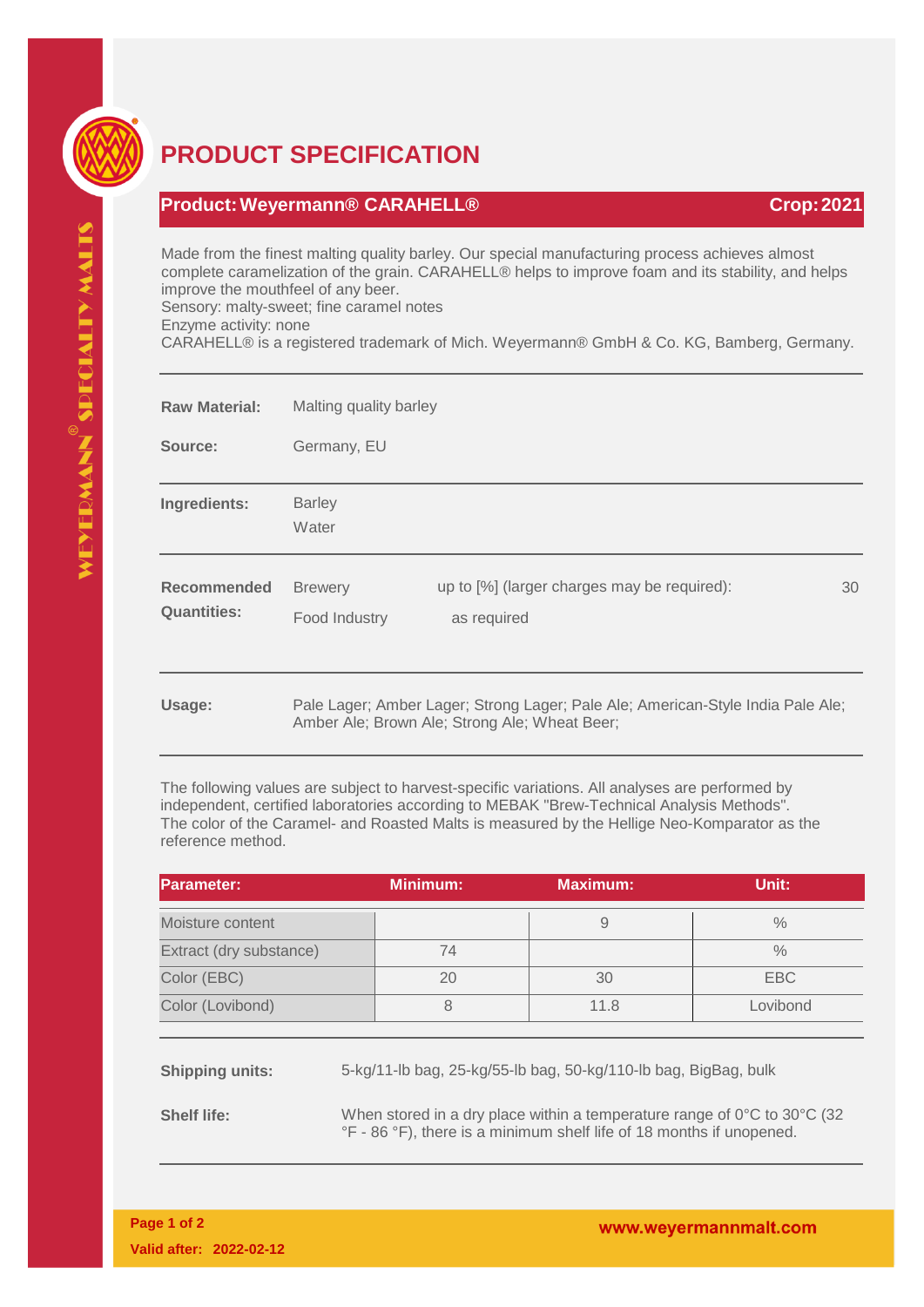

## **PRODUCT SPECIFICATION**

## **Product:Weyermann® CARAHELL® Crop:2021**

Made from the finest malting quality barley. Our special manufacturing process achieves almost complete caramelization of the grain. CARAHELL® helps to improve foam and its stability, and helps improve the mouthfeel of any beer. Sensory: malty-sweet; fine caramel notes

Enzyme activity: none

CARAHELL® is a registered trademark of Mich. Weyermann® GmbH & Co. KG, Bamberg, Germany.

| <b>Raw Material:</b>              | Malting quality barley          |                                                                                                                                  |    |
|-----------------------------------|---------------------------------|----------------------------------------------------------------------------------------------------------------------------------|----|
| Source:                           | Germany, EU                     |                                                                                                                                  |    |
| Ingredients:                      | <b>Barley</b><br>Water          |                                                                                                                                  |    |
| Recommended<br><b>Quantities:</b> | <b>Brewery</b><br>Food Industry | up to [%] (larger charges may be required):<br>as required                                                                       | 30 |
| Usage:                            |                                 | Pale Lager; Amber Lager; Strong Lager; Pale Ale; American-Style India Pale Ale;<br>Amber Ale; Brown Ale; Strong Ale; Wheat Beer; |    |

The following values are subject to harvest-specific variations. All analyses are performed by independent, certified laboratories according to MEBAK "Brew-Technical Analysis Methods". The color of the Caramel- and Roasted Malts is measured by the Hellige Neo-Komparator as the reference method.

| <b>Parameter:</b>       | <b>Minimum:</b> | <b>Maximum:</b> | Unit:         |
|-------------------------|-----------------|-----------------|---------------|
| Moisture content        |                 |                 | $\%$          |
| Extract (dry substance) | 74              |                 | $\frac{0}{0}$ |
| Color (EBC)             | 20              | 30              | EBC           |
| Color (Lovibond)        |                 | 11.8            | Lovibond      |

**Shipping units:** 5-kg/11-lb bag, 25-kg/55-lb bag, 50-kg/110-lb bag, BigBag, bulk

**Shelf life:** When stored in a dry place within a temperature range of 0°C to 30°C (32) °F - 86 °F), there is a minimum shelf life of 18 months if unopened.